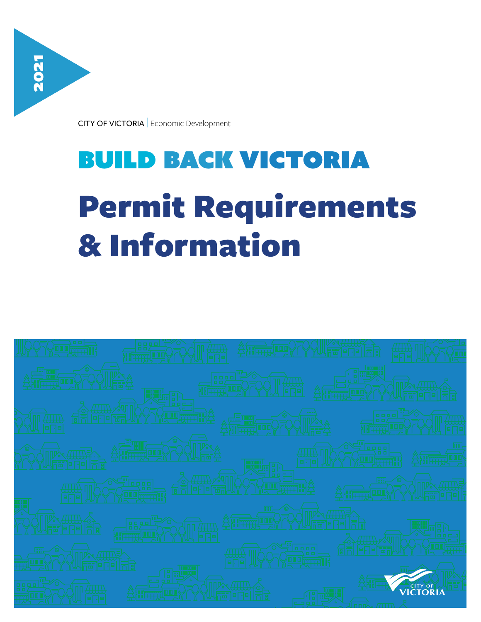

# build back victoria Permit Requirements & Information

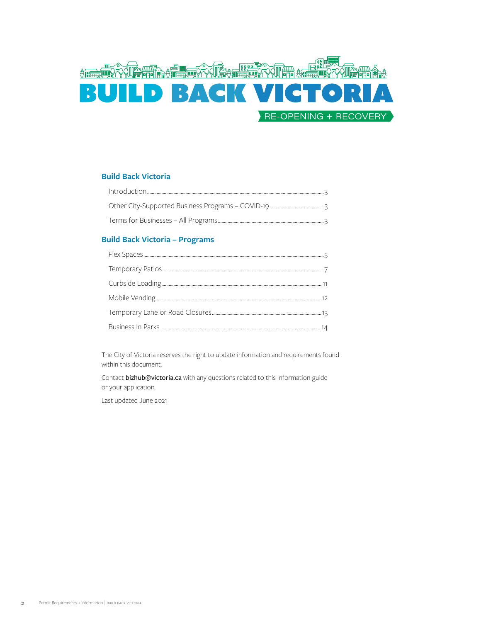

# **Build Back Victoria**

# **Build Back Victoria – Programs**

The City of Victoria reserves the right to update information and requirements found within this document.

Contact bizhub@victoria.ca with any questions related to this information guide or your application.

Last updated June 2021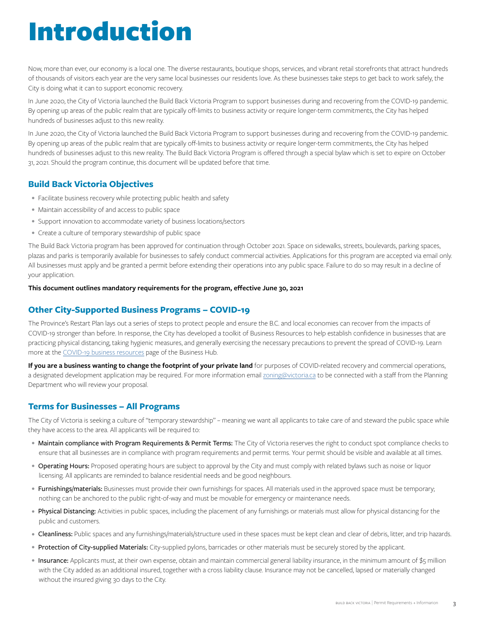# Introduction

Now, more than ever, our economy is a local one. The diverse restaurants, boutique shops, services, and vibrant retail storefronts that attract hundreds of thousands of visitors each year are the very same local businesses our residents love. As these businesses take steps to get back to work safely, the City is doing what it can to support economic recovery.

In June 2020, the City of Victoria launched the Build Back Victoria Program to support businesses during and recovering from the COVID-19 pandemic. By opening up areas of the public realm that are typically off-limits to business activity or require longer-term commitments, the City has helped hundreds of businesses adjust to this new reality.

In June 2020, the City of Victoria launched the Build Back Victoria Program to support businesses during and recovering from the COVID-19 pandemic. By opening up areas of the public realm that are typically off-limits to business activity or require longer-term commitments, the City has helped hundreds of businesses adjust to this new reality. The Build Back Victoria Program is offered through a special bylaw which is set to expire on October 31, 2021. Should the program continue, this document will be updated before that time.

# **Build Back Victoria Objectives**

- Facilitate business recovery while protecting public health and safety
- Maintain accessibility of and access to public space
- Support innovation to accommodate variety of business locations/sectors
- Create a culture of temporary stewardship of public space

The Build Back Victoria program has been approved for continuation through October 2021. Space on sidewalks, streets, boulevards, parking spaces, plazas and parks is temporarily available for businesses to safely conduct commercial activities. Applications for this program are accepted via email only. All businesses must apply and be granted a permit before extending their operations into any public space. Failure to do so may result in a decline of your application.

#### **This document outlines mandatory requirements for the program, effective June 30, 2021**

# **Other City-Supported Business Programs – COVID-19**

The Province's Restart Plan lays out a series of steps to protect people and ensure the B.C. and local economies can recover from the impacts of COVID-19 stronger than before. In response, the City has developed a toolkit of Business Resources to help establish confidence in businesses that are practicing physical distancing, taking hygienic measures, and generally exercising the necessary precautions to prevent the spread of COVID-19. Learn more at the [COVID-19 business resources](https://www.victoria.ca/EN/main/business/covid-19-business-resources.html) page of the Business Hub.

**If you are a business wanting to change the footprint of your private land** for purposes of COVID-related recovery and commercial operations, a designated development application may be required. For more information email **zoning@victoria.ca** to be connected with a staff from the Planning Department who will review your proposal.

# **Terms for Businesses – All Programs**

The City of Victoria is seeking a culture of "temporary stewardship" – meaning we want all applicants to take care of and steward the public space while they have access to the area. All applicants will be required to:

- Maintain compliance with Program Requirements & Permit Terms: The City of Victoria reserves the right to conduct spot compliance checks to ensure that all businesses are in compliance with program requirements and permit terms. Your permit should be visible and available at all times.
- Operating Hours: Proposed operating hours are subject to approval by the City and must comply with related bylaws such as noise or liquor licensing. All applicants are reminded to balance residential needs and be good neighbours.
- Furnishings/materials: Businesses must provide their own furnishings for spaces. All materials used in the approved space must be temporary; nothing can be anchored to the public right-of-way and must be movable for emergency or maintenance needs.
- Physical Distancing: Activities in public spaces, including the placement of any furnishings or materials must allow for physical distancing for the public and customers.
- Cleanliness: Public spaces and any furnishings/materials/structure used in these spaces must be kept clean and clear of debris, litter, and trip hazards.
- Protection of City-supplied Materials: City-supplied pylons, barricades or other materials must be securely stored by the applicant.
- Insurance: Applicants must, at their own expense, obtain and maintain commercial general liability insurance, in the minimum amount of \$5 million with the City added as an additional insured, together with a cross liability clause. Insurance may not be cancelled, lapsed or materially changed without the insured giving 30 days to the City.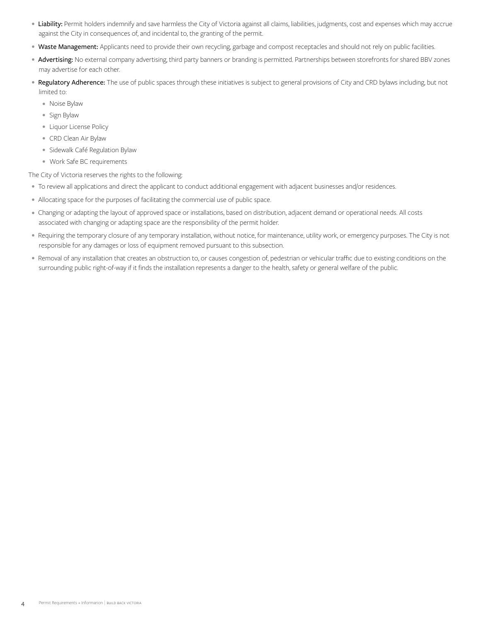- Liability: Permit holders indemnify and save harmless the City of Victoria against all claims, liabilities, judgments, cost and expenses which may accrue against the City in consequences of, and incidental to, the granting of the permit.
- Waste Management: Applicants need to provide their own recycling, garbage and compost receptacles and should not rely on public facilities.
- Advertising: No external company advertising, third party banners or branding is permitted. Partnerships between storefronts for shared BBV zones may advertise for each other.
- Regulatory Adherence: The use of public spaces through these initiatives is subject to general provisions of City and CRD bylaws including, but not limited to:
	- Noise Bylaw
	- Sign Bylaw
	- Liquor License Policy
	- CRD Clean Air Bylaw
	- Sidewalk Café Regulation Bylaw
	- Work Safe BC requirements

The City of Victoria reserves the rights to the following:

- To review all applications and direct the applicant to conduct additional engagement with adjacent businesses and/or residences.
- Allocating space for the purposes of facilitating the commercial use of public space.
- Changing or adapting the layout of approved space or installations, based on distribution, adjacent demand or operational needs. All costs associated with changing or adapting space are the responsibility of the permit holder.
- Requiring the temporary closure of any temporary installation, without notice, for maintenance, utility work, or emergency purposes. The City is not responsible for any damages or loss of equipment removed pursuant to this subsection.
- Removal of any installation that creates an obstruction to, or causes congestion of, pedestrian or vehicular traffic due to existing conditions on the surrounding public right-of-way if it finds the installation represents a danger to the health, safety or general welfare of the public.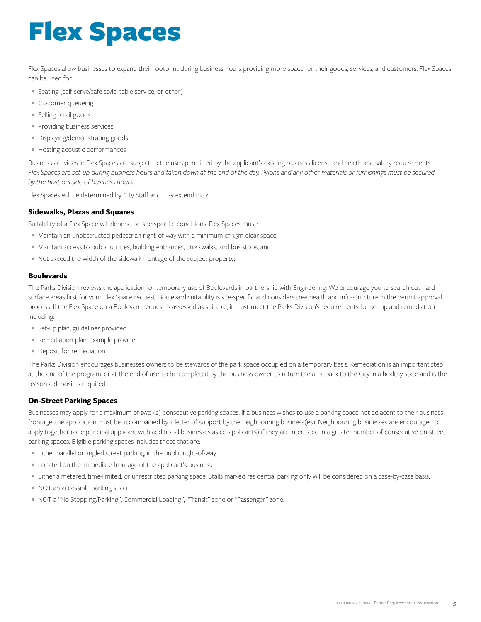# Flex Spaces

Flex Spaces allow businesses to expand their footprint during business hours providing more space for their goods, services, and customers. Flex Spaces can be used for:

- Seating (self-serve/café style, table service, or other)
- Customer queueing
- Selling retail goods
- Providing business services
- Displaying/demonstrating goods
- Hosting acoustic performances

Business activities in Flex Spaces are subject to the uses permitted by the applicant's existing business license and health and safety requirements. Flex Spaces are set-up during business hours and taken down at the end of the day. Pylons and any other materials or furnishings must be secured *by the host outside of business hours*.

Flex Spaces will be determined by City Staff and may extend into:

### **Sidewalks, Plazas and Squares**

Suitability of a Flex Space will depend on site-specific conditions. Flex Spaces must:

- Maintain an unobstructed pedestrian right-of-way with a minimum of 1.5m clear space;
- Maintain access to public utilities, building entrances, crosswalks, and bus stops; and
- Not exceed the width of the sidewalk frontage of the subject property;

### **Boulevards**

The Parks Division reviews the application for temporary use of Boulevards in partnership with Engineering. We encourage you to search out hard surface areas first for your Flex Space request. Boulevard suitability is site-specific and considers tree health and infrastructure in the permit approval process. If the Flex Space on a Boulevard request is assessed as suitable, it must meet the Parks Division's requirements for set up and remediation including:

- Set-up plan, guidelines provided
- Remediation plan, example provided
- Deposit for remediation

The Parks Division encourages businesses owners to be stewards of the park space occupied on a temporary basis. Remediation is an important step at the end of the program, or at the end of use, to be completed by the business owner to return the area back to the City in a healthy state and is the reason a deposit is required.

### **On-Street Parking Spaces**

Businesses may apply for a maximum of two (2) consecutive parking spaces. If a business wishes to use a parking space not adjacent to their business frontage, the application must be accompanied by a letter of support by the neighbouring business(es). Neighbouring businesses are encouraged to apply together (one principal applicant with additional businesses as co-applicants) if they are interested in a greater number of consecutive on-street parking spaces. Eligible parking spaces includes those that are:

- Either parallel or angled street parking, in the public right-of-way
- Located on the immediate frontage of the applicant's business
- Either a metered, time-limited, or unrestricted parking space. Stalls marked residential parking only will be considered on a case-by-case basis.
- NOT an accessible parking space
- NOT a "No Stopping/Parking", Commercial Loading", "Transit" zone or "Passenger" zone.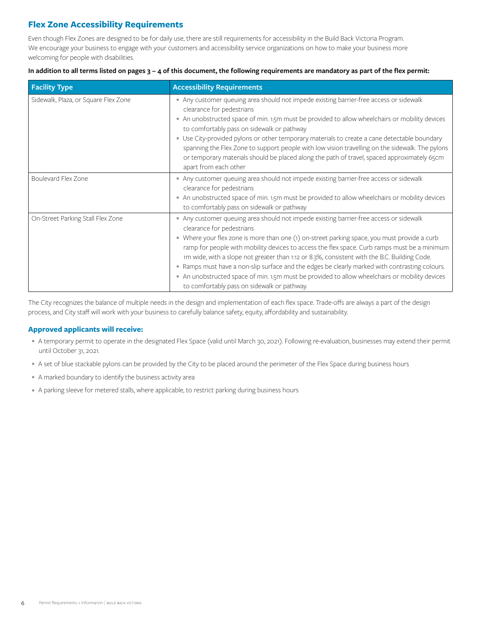# **Flex Zone Accessibility Requirements**

Even though Flex Zones are designed to be for daily use, there are still requirements for accessibility in the Build Back Victoria Program. We encourage your business to engage with your customers and accessibility service organizations on how to make your business more welcoming for people with disabilities.

### **In addition to all terms listed on pages 3 – 4 of this document, the following requirements are mandatory as part of the flex permit:**

| <b>Facility Type</b>                 | <b>Accessibility Requirements</b>                                                                                                                                                                                                                                                                                                                                                                                                                                                                                                                                                                                                                                      |
|--------------------------------------|------------------------------------------------------------------------------------------------------------------------------------------------------------------------------------------------------------------------------------------------------------------------------------------------------------------------------------------------------------------------------------------------------------------------------------------------------------------------------------------------------------------------------------------------------------------------------------------------------------------------------------------------------------------------|
| Sidewalk, Plaza, or Square Flex Zone | • Any customer queuing area should not impede existing barrier-free access or sidewalk<br>clearance for pedestrians<br>• An unobstructed space of min. 1.5m must be provided to allow wheelchairs or mobility devices<br>to comfortably pass on sidewalk or pathway<br>· Use City-provided pylons or other temporary materials to create a cane detectable boundary<br>spanning the Flex Zone to support people with low vision travelling on the sidewalk. The pylons<br>or temporary materials should be placed along the path of travel, spaced approximately 65cm<br>apart from each other                                                                         |
| Boulevard Flex Zone                  | • Any customer queuing area should not impede existing barrier-free access or sidewalk<br>clearance for pedestrians<br>• An unobstructed space of min. 1.5m must be provided to allow wheelchairs or mobility devices<br>to comfortably pass on sidewalk or pathway                                                                                                                                                                                                                                                                                                                                                                                                    |
| On-Street Parking Stall Flex Zone    | • Any customer queuing area should not impede existing barrier-free access or sidewalk<br>clearance for pedestrians<br>• Where your flex zone is more than one (1) on-street parking space, you must provide a curb<br>ramp for people with mobility devices to access the flex space. Curb ramps must be a minimum<br>1m wide, with a slope not greater than 1:12 or 8.3%, consistent with the B.C. Building Code.<br>. Ramps must have a non-slip surface and the edges be clearly marked with contrasting colours.<br>• An unobstructed space of min. 1.5m must be provided to allow wheelchairs or mobility devices<br>to comfortably pass on sidewalk or pathway. |

The City recognizes the balance of multiple needs in the design and implementation of each flex space. Trade-offs are always a part of the design process, and City staff will work with your business to carefully balance safety, equity, affordability and sustainability.

# **Approved applicants will receive:**

- A temporary permit to operate in the designated Flex Space (valid until March 30, 2021). Following re-evaluation, businesses may extend their permit until October 31, 2021.
- A set of blue stackable pylons can be provided by the City to be placed around the perimeter of the Flex Space during business hours
- A marked boundary to identify the business activity area
- A parking sleeve for metered stalls, where applicable, to restrict parking during business hours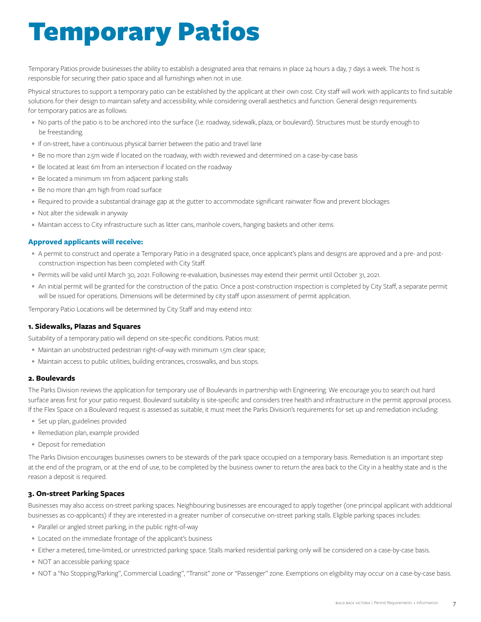# Temporary Patios

Temporary Patios provide businesses the ability to establish a designated area that remains in place 24 hours a day, 7 days a week. The host is responsible for securing their patio space and all furnishings when not in use.

Physical structures to support a temporary patio can be established by the applicant at their own cost. City staff will work with applicants to find suitable solutions for their design to maintain safety and accessibility, while considering overall aesthetics and function. General design requirements for temporary patios are as follows:

- No parts of the patio is to be anchored into the surface (I.e. roadway, sidewalk, plaza, or boulevard). Structures must be sturdy enough to be freestanding.
- If on-street, have a continuous physical barrier between the patio and travel lane
- Be no more than 2.5m wide if located on the roadway, with width reviewed and determined on a case-by-case basis
- Be located at least 6m from an intersection if located on the roadway
- Be located a minimum 1m from adjacent parking stalls
- Be no more than 4m high from road surface
- Required to provide a substantial drainage gap at the gutter to accommodate significant rainwater flow and prevent blockages
- Not alter the sidewalk in anyway
- Maintain access to City infrastructure such as litter cans, manhole covers, hanging baskets and other items

# **Approved applicants will receive:**

- A permit to construct and operate a Temporary Patio in a designated space, once applicant's plans and designs are approved and a pre- and postconstruction inspection has been completed with City Staff.
- Permits will be valid until March 30, 2021. Following re-evaluation, businesses may extend their permit until October 31, 2021.
- An initial permit will be granted for the construction of the patio. Once a post-construction inspection is completed by City Staff, a separate permit will be issued for operations. Dimensions will be determined by city staff upon assessment of permit application.

Temporary Patio Locations will be determined by City Staff and may extend into:

### **1. Sidewalks, Plazas and Squares**

Suitability of a temporary patio will depend on site-specific conditions. Patios must:

- Maintain an unobstructed pedestrian right-of-way with minimum 1.5m clear space;
- Maintain access to public utilities, building entrances, crosswalks, and bus stops.

### **2. Boulevards**

The Parks Division reviews the application for temporary use of Boulevards in partnership with Engineering. We encourage you to search out hard surface areas first for your patio request. Boulevard suitability is site-specific and considers tree health and infrastructure in the permit approval process. If the Flex Space on a Boulevard request is assessed as suitable, it must meet the Parks Division's requirements for set up and remediation including:

- Set up plan, guidelines provided
- Remediation plan, example provided
- Deposit for remediation

The Parks Division encourages businesses owners to be stewards of the park space occupied on a temporary basis. Remediation is an important step at the end of the program, or at the end of use, to be completed by the business owner to return the area back to the City in a healthy state and is the reason a deposit is required.

## **3. On-street Parking Spaces**

Businesses may also access on-street parking spaces. Neighbouring businesses are encouraged to apply together (one principal applicant with additional businesses as co-applicants) if they are interested in a greater number of consecutive on-street parking stalls. Eligible parking spaces includes:

- Parallel or angled street parking, in the public right-of-way
- Located on the immediate frontage of the applicant's business
- Either a metered, time-limited, or unrestricted parking space. Stalls marked residential parking only will be considered on a case-by-case basis.
- NOT an accessible parking space
- NOT a "No Stopping/Parking", Commercial Loading", "Transit" zone or "Passenger" zone. Exemptions on eligibility may occur on a case-by-case basis.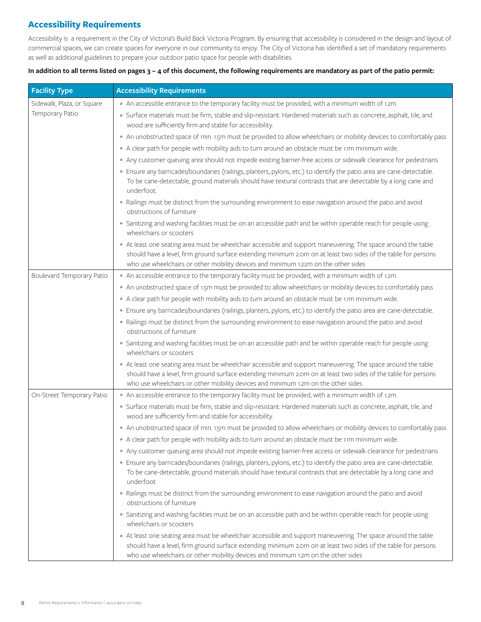# **Accessibility Requirements**

Accessibility is a requirement in the City of Victoria's Build Back Victoria Program. By ensuring that accessibility is considered in the design and layout of commercial spaces, we can create spaces for everyone in our community to enjoy. The City of Victoria has identified a set of mandatory requirements as well as additional guidelines to prepare your outdoor patio space for people with disabilities.

# **In addition to all terms listed on pages 3 – 4 of this document, the following requirements are mandatory as part of the patio permit:**

| <b>Facility Type</b>       | <b>Accessibility Requirements</b>                                                                                                                                                                                                                                                                                     |
|----------------------------|-----------------------------------------------------------------------------------------------------------------------------------------------------------------------------------------------------------------------------------------------------------------------------------------------------------------------|
| Sidewalk, Plaza, or Square | • An accessible entrance to the temporary facility must be provided, with a minimum width of 1.2m.                                                                                                                                                                                                                    |
| Temporary Patio            | · Surface materials must be firm, stable and slip-resistant. Hardened materials such as concrete, asphalt, tile, and<br>wood are sufficiently firm and stable for accessibility.                                                                                                                                      |
|                            | • An unobstructed space of min. 1.5m must be provided to allow wheelchairs or mobility devices to comfortably pass                                                                                                                                                                                                    |
|                            | . A clear path for people with mobility aids to turn around an obstacle must be 1.1m minimum wide.                                                                                                                                                                                                                    |
|                            | • Any customer queuing area should not impede existing barrier-free access or sidewalk clearance for pedestrians                                                                                                                                                                                                      |
|                            | · Ensure any barricades/boundaries (railings, planters, pylons, etc.) to identify the patio area are cane-detectable.<br>To be cane-detectable, ground materials should have textural contrasts that are detectable by a long cane and<br>underfoot.                                                                  |
|                            | · Railings must be distinct from the surrounding environment to ease navigation around the patio and avoid<br>obstructions of furniture                                                                                                                                                                               |
|                            | · Sanitizing and washing facilities must be on an accessible path and be within operable reach for people using<br>wheelchairs or scooters                                                                                                                                                                            |
|                            | • At least one seating area must be wheelchair accessible and support maneuvering. The space around the table<br>should have a level, firm ground surface extending minimum 2.0m on at least two sides of the table for persons<br>who use wheelchairs or other mobility devices and minimum 1.22m on the other sides |
| Boulevard Temporary Patio  | • An accessible entrance to the temporary facility must be provided, with a minimum width of 1.2m.                                                                                                                                                                                                                    |
|                            | • An unobstructed space of 1.5m must be provided to allow wheelchairs or mobility devices to comfortably pass                                                                                                                                                                                                         |
|                            | . A clear path for people with mobility aids to turn around an obstacle must be 1.1m minimum wide.                                                                                                                                                                                                                    |
|                            | · Ensure any barricades/boundaries (railings, planters, pylons, etc.) to identify the patio area are cane-detectable.                                                                                                                                                                                                 |
|                            | · Railings must be distinct from the surrounding environment to ease navigation around the patio and avoid<br>obstructions of furniture                                                                                                                                                                               |
|                            | • Sanitizing and washing facilities must be on an accessible path and be within operable reach for people using<br>wheelchairs or scooters                                                                                                                                                                            |
|                            | • At least one seating area must be wheelchair accessible and support maneuvering. The space around the table<br>should have a level, firm ground surface extending minimum 2.0m on at least two sides of the table for persons<br>who use wheelchairs or other mobility devices and minimum 1.2m on the other sides  |
| On-Street Temporary Patio  | • An accessible entrance to the temporary facility must be provided, with a minimum width of 1.2m.                                                                                                                                                                                                                    |
|                            | · Surface materials must be firm, stable and slip-resistant. Hardened materials such as concrete, asphalt, tile, and<br>wood are sufficiently firm and stable for accessibility.                                                                                                                                      |
|                            | • An unobstructed space of min. 1.5m must be provided to allow wheelchairs or mobility devices to comfortably pass                                                                                                                                                                                                    |
|                            | A clear path for people with mobility aids to turn around an obstacle must be 1.1m minimum wide.                                                                                                                                                                                                                      |
|                            | • Any customer queuing area should not impede existing barrier-free access or sidewalk clearance for pedestrians                                                                                                                                                                                                      |
|                            | · Ensure any barricades/boundaries (railings, planters, pylons, etc.) to identify the patio area are cane-detectable.<br>To be cane-detectable, ground materials should have textural contrasts that are detectable by a long cane and<br>underfoot                                                                   |
|                            | • Railings must be distinct from the surrounding environment to ease navigation around the patio and avoid<br>obstructions of furniture                                                                                                                                                                               |
|                            | • Sanitizing and washing facilities must be on an accessible path and be within operable reach for people using<br>wheelchairs or scooters                                                                                                                                                                            |
|                            | • At least one seating area must be wheelchair accessible and support maneuvering. The space around the table<br>should have a level, firm ground surface extending minimum 2.0m on at least two sides of the table for persons<br>who use wheelchairs or other mobility devices and minimum 1.2m on the other sides  |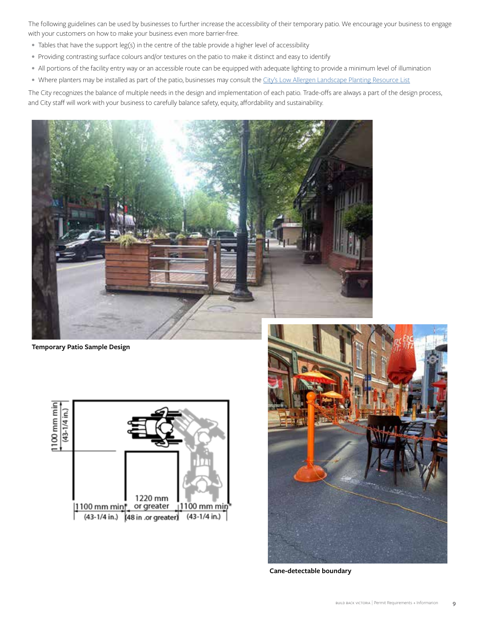The following guidelines can be used by businesses to further increase the accessibility of their temporary patio. We encourage your business to engage with your customers on how to make your business even more barrier-free.

- Tables that have the support leg(s) in the centre of the table provide a higher level of accessibility
- Providing contrasting surface colours and/or textures on the patio to make it distinct and easy to identify
- All portions of the facility entry way or an accessible route can be equipped with adequate lighting to provide a minimum level of illumination
- Where planters may be installed as part of the patio, businesses may consult the [City's Low Allergen Landscape Planting Resource List](https://www.victoria.ca/assets/Departments/Parks~Rec~Culture/Parks/Documents/Growing~in~the~City/GITC%20Lower%20Pollen%20List%20DIGITAL.pdf)

The City recognizes the balance of multiple needs in the design and implementation of each patio. Trade-offs are always a part of the design process, and City staff will work with your business to carefully balance safety, equity, affordability and sustainability.



**Temporary Patio Sample Design**





**Cane-detectable boundary**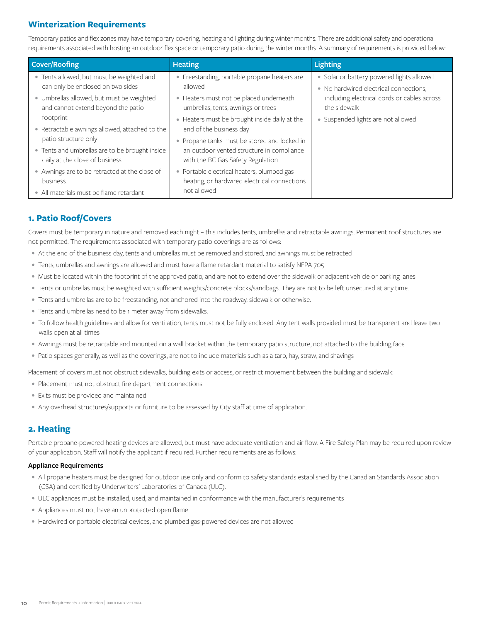# **Winterization Requirements**

Temporary patios and flex zones may have temporary covering, heating and lighting during winter months. There are additional safety and operational requirements associated with hosting an outdoor flex space or temporary patio during the winter months. A summary of requirements is provided below:

| <b>Cover/Roofing</b>                                                              | <b>Heating</b>                                                                                                                 | <b>Lighting</b>                                                                     |
|-----------------------------------------------------------------------------------|--------------------------------------------------------------------------------------------------------------------------------|-------------------------------------------------------------------------------------|
| • Tents allowed, but must be weighted and<br>can only be enclosed on two sides    | • Freestanding, portable propane heaters are<br>allowed                                                                        | · Solar or battery powered lights allowed<br>• No hardwired electrical connections, |
| · Umbrellas allowed, but must be weighted<br>and cannot extend beyond the patio   | • Heaters must not be placed underneath<br>umbrellas, tents, awnings or trees                                                  | including electrical cords or cables across<br>the sidewalk                         |
| footprint                                                                         | • Heaters must be brought inside daily at the                                                                                  | · Suspended lights are not allowed                                                  |
| · Retractable awnings allowed, attached to the<br>patio structure only            | end of the business day                                                                                                        |                                                                                     |
| • Tents and umbrellas are to be brought inside<br>daily at the close of business. | • Propane tanks must be stored and locked in<br>an outdoor vented structure in compliance<br>with the BC Gas Safety Regulation |                                                                                     |
| • Awnings are to be retracted at the close of<br>business.                        | • Portable electrical heaters, plumbed gas<br>heating, or hardwired electrical connections                                     |                                                                                     |
| • All materials must be flame retardant                                           | not allowed                                                                                                                    |                                                                                     |

# **1. Patio Roof/Covers**

Covers must be temporary in nature and removed each night – this includes tents, umbrellas and retractable awnings. Permanent roof structures are not permitted. The requirements associated with temporary patio coverings are as follows:

- At the end of the business day, tents and umbrellas must be removed and stored, and awnings must be retracted
- Tents, umbrellas and awnings are allowed and must have a flame retardant material to satisfy NFPA 705
- Must be located within the footprint of the approved patio, and are not to extend over the sidewalk or adjacent vehicle or parking lanes
- Tents or umbrellas must be weighted with sufficient weights/concrete blocks/sandbags. They are not to be left unsecured at any time.
- Tents and umbrellas are to be freestanding, not anchored into the roadway, sidewalk or otherwise.
- Tents and umbrellas need to be 1 meter away from sidewalks.
- To follow health guidelines and allow for ventilation, tents must not be fully enclosed. Any tent walls provided must be transparent and leave two walls open at all times
- Awnings must be retractable and mounted on a wall bracket within the temporary patio structure, not attached to the building face
- Patio spaces generally, as well as the coverings, are not to include materials such as a tarp, hay, straw, and shavings

Placement of covers must not obstruct sidewalks, building exits or access, or restrict movement between the building and sidewalk:

- Placement must not obstruct fire department connections
- Exits must be provided and maintained
- Any overhead structures/supports or furniture to be assessed by City staff at time of application.

# **2. Heating**

Portable propane-powered heating devices are allowed, but must have adequate ventilation and air flow. A Fire Safety Plan may be required upon review of your application. Staff will notify the applicant if required. Further requirements are as follows:

### **Appliance Requirements**

- All propane heaters must be designed for outdoor use only and conform to safety standards established by the Canadian Standards Association (CSA) and certified by Underwriters' Laboratories of Canada (ULC).
- ULC appliances must be installed, used, and maintained in conformance with the manufacturer's requirements
- Appliances must not have an unprotected open flame
- Hardwired or portable electrical devices, and plumbed gas-powered devices are not allowed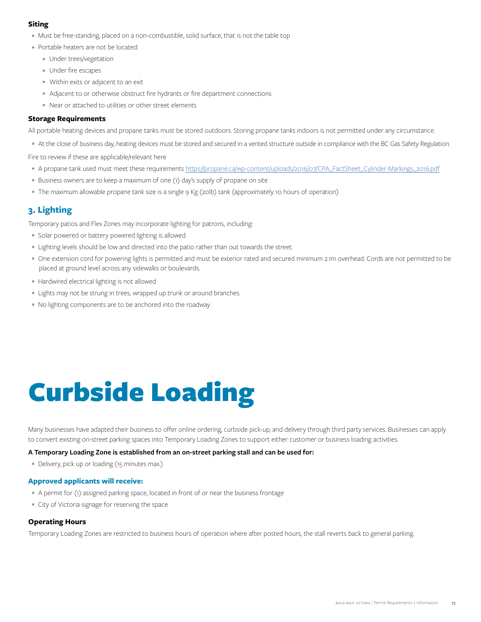# **Siting**

- Must be free-standing, placed on a non-combustible, solid surface, that is not the table top
- Portable heaters are not be located:
	- Under trees/vegetation
	- Under fire escapes
	- Within exits or adjacent to an exit
	- Adjacent to or otherwise obstruct fire hydrants or fire department connections
	- Near or attached to utilities or other street elements

### **Storage Requirements**

All portable heating devices and propane tanks must be stored outdoors. Storing propane tanks indoors is not permitted under any circumstance.

• At the close of business day, heating devices must be stored and secured in a vented structure outside in compliance with the BC Gas Safety Regulation.

Fire to review if these are applicable/relevant here

- A propane tank used must meet these requirements [https://propane.ca/wp-content/uploads/2016/07/CPA\\_FactSheet\\_Cylinder-Markings\\_2016.pdf](https://propane.ca/wp-content/uploads/2016/07/CPA_FactSheet_Cylinder-Markings_2016.pdf)
- Business owners are to keep a maximum of one (1) day's supply of propane on site
- The maximum allowable propane tank size is a single 9 Kg (20lb) tank (approximately 10 hours of operation)

# **3. Lighting**

Temporary patios and Flex Zones may incorporate lighting for patrons, including:

- Solar powered or battery powered lighting is allowed
- Lighting levels should be low and directed into the patio rather than out towards the street.
- One extension cord for powering lights is permitted and must be exterior rated and secured minimum 2.1m overhead. Cords are not permitted to be placed at ground level across any sidewalks or boulevards.
- Hardwired electrical lighting is not allowed
- Lights may not be strung in trees, wrapped up trunk or around branches.
- No lighting components are to be anchored into the roadway

# Curbside Loading

Many businesses have adapted their business to offer online ordering, curbside pick-up, and delivery through third party services. Businesses can apply to convert existing on-street parking spaces into Temporary Loading Zones to support either customer or business loading activities.

#### **A Temporary Loading Zone is established from an on-street parking stall and can be used for:**

• Delivery, pick up or loading (15 minutes max.)

### **Approved applicants will receive:**

- A permit for (1) assigned parking space, located in front of or near the business frontage
- City of Victoria signage for reserving the space

## **Operating Hours**

Temporary Loading Zones are restricted to business hours of operation where after posted hours, the stall reverts back to general parking.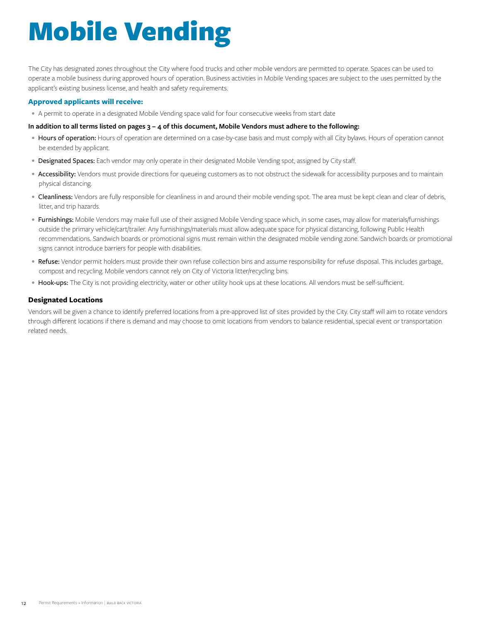# Mobile Vending

The City has designated zones throughout the City where food trucks and other mobile vendors are permitted to operate. Spaces can be used to operate a mobile business during approved hours of operation. Business activities in Mobile Vending spaces are subject to the uses permitted by the applicant's existing business license, and health and safety requirements.

## **Approved applicants will receive:**

• A permit to operate in a designated Mobile Vending space valid for four consecutive weeks from start date

### **In addition to all terms listed on pages 3 – 4 of this document, Mobile Vendors must adhere to the following:**

- Hours of operation: Hours of operation are determined on a case-by-case basis and must comply with all City bylaws. Hours of operation cannot be extended by applicant.
- Designated Spaces: Each vendor may only operate in their designated Mobile Vending spot, assigned by City staff.
- Accessibility: Vendors must provide directions for queueing customers as to not obstruct the sidewalk for accessibility purposes and to maintain physical distancing.
- Cleanliness: Vendors are fully responsible for cleanliness in and around their mobile vending spot. The area must be kept clean and clear of debris, litter, and trip hazards.
- Furnishings: Mobile Vendors may make full use of their assigned Mobile Vending space which, in some cases, may allow for materials/furnishings outside the primary vehicle/cart/trailer. Any furnishings/materials must allow adequate space for physical distancing, following Public Health recommendations. Sandwich boards or promotional signs must remain within the designated mobile vending zone. Sandwich boards or promotional signs cannot introduce barriers for people with disabilities.
- Refuse: Vendor permit holders must provide their own refuse collection bins and assume responsibility for refuse disposal. This includes garbage, compost and recycling. Mobile vendors cannot rely on City of Victoria litter/recycling bins.
- Hook-ups: The City is not providing electricity, water or other utility hook ups at these locations. All vendors must be self-sufficient.

# **Designated Locations**

Vendors will be given a chance to identify preferred locations from a pre-approved list of sites provided by the City. City staff will aim to rotate vendors through different locations if there is demand and may choose to omit locations from vendors to balance residential, special event or transportation related needs.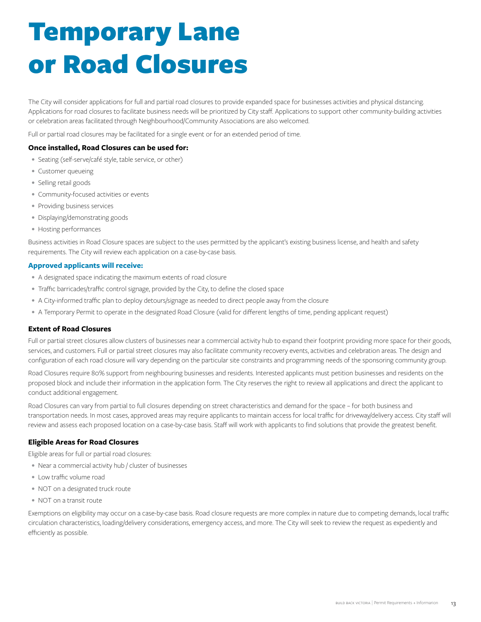# Temporary Lane or Road Closures

The City will consider applications for full and partial road closures to provide expanded space for businesses activities and physical distancing. Applications for road closures to facilitate business needs will be prioritized by City staff. Applications to support other community-building activities or celebration areas facilitated through Neighbourhood/Community Associations are also welcomed.

Full or partial road closures may be facilitated for a single event or for an extended period of time.

# **Once installed, Road Closures can be used for:**

- Seating (self-serve/café style, table service, or other)
- Customer queueing
- Selling retail goods
- Community-focused activities or events
- Providing business services
- Displaying/demonstrating goods
- Hosting performances

Business activities in Road Closure spaces are subject to the uses permitted by the applicant's existing business license, and health and safety requirements. The City will review each application on a case-by-case basis.

### **Approved applicants will receive:**

- A designated space indicating the maximum extents of road closure
- Traffic barricades/traffic control signage, provided by the City, to define the closed space
- A City-informed traffic plan to deploy detours/signage as needed to direct people away from the closure
- A Temporary Permit to operate in the designated Road Closure (valid for different lengths of time, pending applicant request)

### **Extent of Road Closures**

Full or partial street closures allow clusters of businesses near a commercial activity hub to expand their footprint providing more space for their goods, services, and customers. Full or partial street closures may also facilitate community recovery events, activities and celebration areas. The design and configuration of each road closure will vary depending on the particular site constraints and programming needs of the sponsoring community group.

Road Closures require 80% support from neighbouring businesses and residents. Interested applicants must petition businesses and residents on the proposed block and include their information in the application form. The City reserves the right to review all applications and direct the applicant to conduct additional engagement.

Road Closures can vary from partial to full closures depending on street characteristics and demand for the space – for both business and transportation needs. In most cases, approved areas may require applicants to maintain access for local traffic for driveway/delivery access. City staff will review and assess each proposed location on a case-by-case basis. Staff will work with applicants to find solutions that provide the greatest benefit.

### **Eligible Areas for Road Closures**

Eligible areas for full or partial road closures:

- Near a commercial activity hub / cluster of businesses
- Low traffic volume road
- NOT on a designated truck route
- NOT on a transit route

Exemptions on eligibility may occur on a case-by-case basis. Road closure requests are more complex in nature due to competing demands, local traffic circulation characteristics, loading/delivery considerations, emergency access, and more. The City will seek to review the request as expediently and efficiently as possible.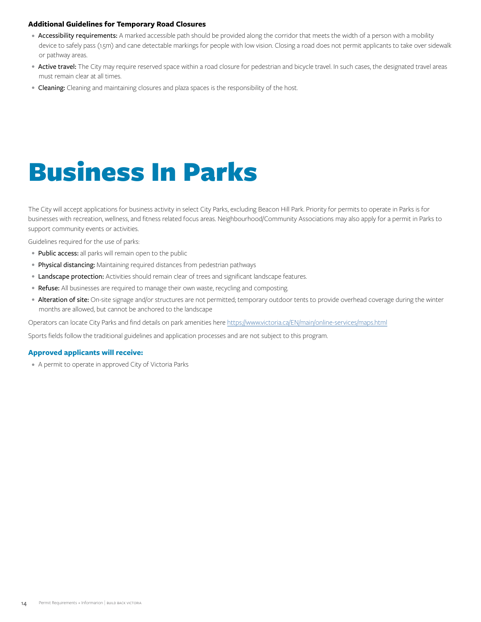# **Additional Guidelines for Temporary Road Closures**

- Accessibility requirements: A marked accessible path should be provided along the corridor that meets the width of a person with a mobility device to safely pass (1.5m) and cane detectable markings for people with low vision. Closing a road does not permit applicants to take over sidewalk or pathway areas.
- Active travel: The City may require reserved space within a road closure for pedestrian and bicycle travel. In such cases, the designated travel areas must remain clear at all times.
- Cleaning: Cleaning and maintaining closures and plaza spaces is the responsibility of the host.

# Business In Parks

The City will accept applications for business activity in select City Parks, excluding Beacon Hill Park. Priority for permits to operate in Parks is for businesses with recreation, wellness, and fitness related focus areas. Neighbourhood/Community Associations may also apply for a permit in Parks to support community events or activities.

Guidelines required for the use of parks:

- Public access: all parks will remain open to the public
- Physical distancing: Maintaining required distances from pedestrian pathways
- **Landscape protection:** Activities should remain clear of trees and significant landscape features.
- Refuse: All businesses are required to manage their own waste, recycling and composting.
- Alteration of site: On-site signage and/or structures are not permitted; temporary outdoor tents to provide overhead coverage during the winter months are allowed, but cannot be anchored to the landscape

Operators can locate City Parks and find details on park amenities here<https://www.victoria.ca/EN/main/online-services/maps.html>

Sports fields follow the traditional guidelines and application processes and are not subject to this program.

### **Approved applicants will receive:**

• A permit to operate in approved City of Victoria Parks